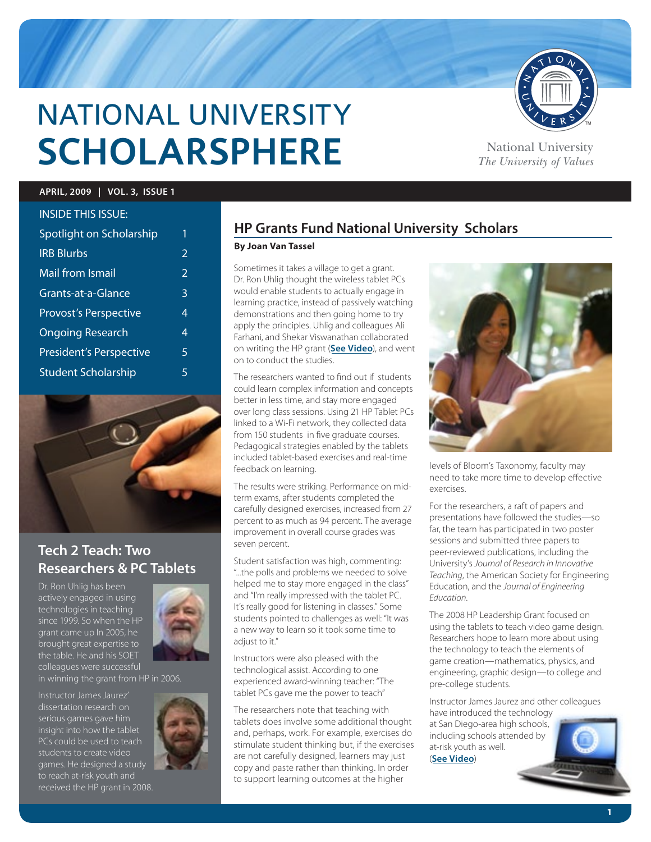

# NATIONAL UNIVERSITY **SCHOLARSPHERE** National University

*The University of Values*

#### **APRIL, 2009 | VOL. 3, ISSUE 1**

| <b>INSIDE THIS ISSUE:</b>      |                |
|--------------------------------|----------------|
| Spotlight on Scholarship       | 1              |
| <b>IRB Blurbs</b>              | 2              |
| Mail from Ismail               | $\overline{2}$ |
| Grants-at-a-Glance             | 3              |
| <b>Provost's Perspective</b>   | 4              |
| <b>Ongoing Research</b>        | 4              |
| <b>President's Perspective</b> | 5              |
| <b>Student Scholarship</b>     | 5              |



# **Tech 2 Teach: Two Researchers & PC Tablets**

Dr. Ron Uhlig has been actively engaged in using technologies in teaching since 1999. So when the HP grant came up In 2005, he brought great expertise to the table. He and his SOET colleagues were successful

Instructor James Jaurez' serious games gave him insight into how the tablet PCs could be used to teach students to create video games. He designed a study to reach at-risk youth and received the HP grant in 2008.



in winning the grant from HP in 2006.



# **HP Grants Fund National University Scholars**

#### **By Joan Van Tassel**

Sometimes it takes a village to get a grant. Dr. Ron Uhlig thought the wireless tablet PCs would enable students to actually engage in learning practice, instead of passively watching demonstrations and then going home to try apply the principles. Uhlig and colleagues Ali Farhani, and Shekar Viswanathan collaborated on writing the HP grant (**[See Video](http://www.youtube.com/watch?v=d2KtLySBclw)**), and went on to conduct the studies.

The researchers wanted to find out if students could learn complex information and concepts better in less time, and stay more engaged over long class sessions. Using 21 HP Tablet PCs linked to a Wi-Fi network, they collected data from 150 students in five graduate courses. Pedagogical strategies enabled by the tablets included tablet-based exercises and real-time feedback on learning.

The results were striking. Performance on midterm exams, after students completed the carefully designed exercises, increased from 27 percent to as much as 94 percent. The average improvement in overall course grades was seven percent.

Student satisfaction was high, commenting: "...the polls and problems we needed to solve helped me to stay more engaged in the class" and "I'm really impressed with the tablet PC. It's really good for listening in classes." Some students pointed to challenges as well: "It was a new way to learn so it took some time to adiust to it."

Instructors were also pleased with the technological assist. According to one experienced award-winning teacher: "The tablet PCs gave me the power to teach"

The researchers note that teaching with tablets does involve some additional thought and, perhaps, work. For example, exercises do stimulate student thinking but, if the exercises are not carefully designed, learners may just copy and paste rather than thinking. In order to support learning outcomes at the higher



levels of Bloom's Taxonomy, faculty may need to take more time to develop effective exercises.

For the researchers, a raft of papers and presentations have followed the studies—so far, the team has participated in two poster sessions and submitted three papers to peer-reviewed publications, including the University's *Journal of Research in Innovative Teaching*, the American Society for Engineering Education, and the *Journal of Engineering Education*.

The 2008 HP Leadership Grant focused on using the tablets to teach video game design. Researchers hope to learn more about using the technology to teach the elements of game creation—mathematics, physics, and engineering, graphic design—to college and pre-college students.

Instructor James Jaurez and other colleagues have introduced the technology

at San Diego-area high schools, including schools attended by at-risk youth as well. (**[See Video](http://www.youtube.com/watch?v=d2KtLySBclw)**)

**1**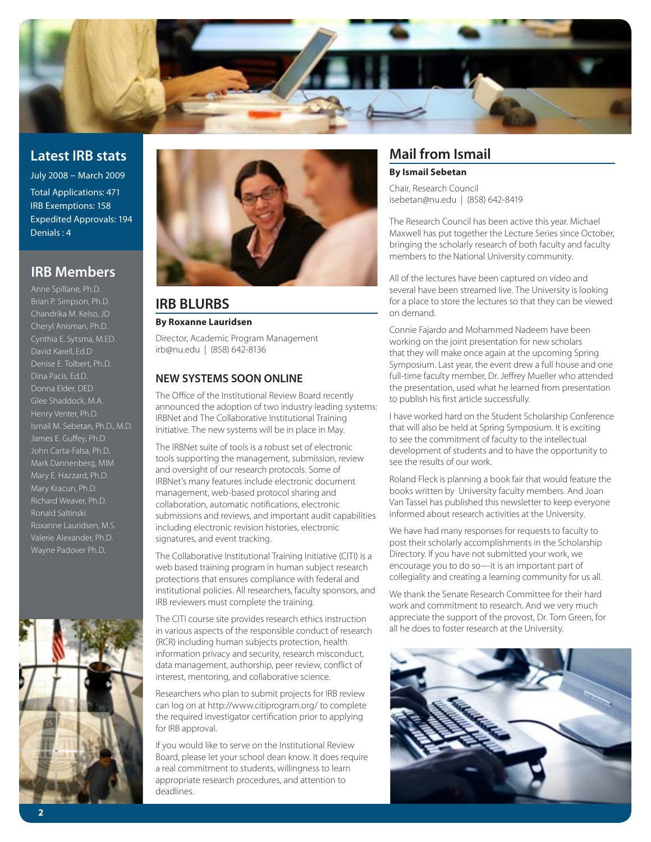

# **Latest IRB stats**

July 2008 – March 2009 Total Applications: 471 IRB Exemptions: 158 Expedited Approvals: 194 Denials : 4

## **IRB Members**

Anne Spillane, Ph.D. Brian P. Simpson, Ph.D. Chandrika M. Kelso, JD Cheryl Anisman, Ph.D. Cynthia E. Sytsma, M.ED. David Karell, Ed.D Dina Pacis, Ed.D. Donna Elder, DED Glee Shaddock, M.A. Henry Venter, Ph.D. Ismail M. Sebetan, Ph.D., M.D. James E. Guffey, Ph.D. John Carta-Falsa, Ph.D. Mark Dannenberg, MIM Mary E. Hazzard, Ph.D. Mary Kracun, Ph.D. Richard Weaver, Ph.D. Ronald Saltinski Roxanne Lauridsen, M.S. Valerie Alexander, Ph.D.





## **IRB BLURBS**

#### **By Roxanne Lauridsen**

Director, Academic Program Management irb@nu.edu | (858) 642-8136

#### **NEW SYSTEMS SOON ONLINE**

The Office of the Institutional Review Board recently announced the adoption of two industry leading systems: IRBNet and The Collaborative Institutional Training Initiative. The new systems will be in place in May.

The IRBNet suite of tools is a robust set of electronic tools supporting the management, submission, review and oversight of our research protocols. Some of IRBNet's many features include electronic document management, web-based protocol sharing and collaboration, automatic notifications, electronic submissions and reviews, and important audit capabilities including electronic revision histories, electronic signatures, and event tracking.

The Collaborative Institutional Training Initiative (CITI) is a web based training program in human subject research protections that ensures compliance with federal and institutional policies. All researchers, faculty sponsors, and IRB reviewers must complete the training.

The CITI course site provides research ethics instruction in various aspects of the responsible conduct of research (RCR) including human subjects protection, health information privacy and security, research misconduct, data management, authorship, peer review, conflict of interest, mentoring, and collaborative science.

Researchers who plan to submit projects for IRB review can log on at http://www.citiprogram.org/ to complete the required investigator certification prior to applying for IRB approval.

If you would like to serve on the Institutional Review Board, please let your school dean know. It does require a real commitment to students, willingness to learn appropriate research procedures, and attention to deadlines.

# **Mail from Ismail**

#### **By Ismail Sebetan**

Chair, Research Council isebetan@nu.edu | (858) 642-8419

The Research Council has been active this year. Michael Maxwell has put together the Lecture Series since October, bringing the scholarly research of both faculty and faculty members to the National University community.

All of the lectures have been captured on video and several have been streamed live. The University is looking for a place to store the lectures so that they can be viewed on demand.

Connie Fajardo and Mohammed Nadeem have been working on the joint presentation for new scholars that they will make once again at the upcoming Spring Symposium. Last year, the event drew a full house and one full-time faculty member, Dr. Jeffrey Mueller who attended the presentation, used what he learned from presentation to publish his first article successfully.

I have worked hard on the Student Scholarship Conference that will also be held at Spring Symposium. It is exciting to see the commitment of faculty to the intellectual development of students and to have the opportunity to see the results of our work.

Roland Fleck is planning a book fair that would feature the books written by University faculty members. And Joan Van Tassel has published this newsletter to keep everyone informed about research activities at the University.

We have had many responses for requests to faculty to post their scholarly accomplishments in the Scholarship Directory. If you have not submitted your work, we encourage you to do so—it is an important part of collegiality and creating a learning community for us all.

We thank the Senate Research Committee for their hard work and commitment to research. And we very much appreciate the support of the provost, Dr. Tom Green, for all he does to foster research at the University.

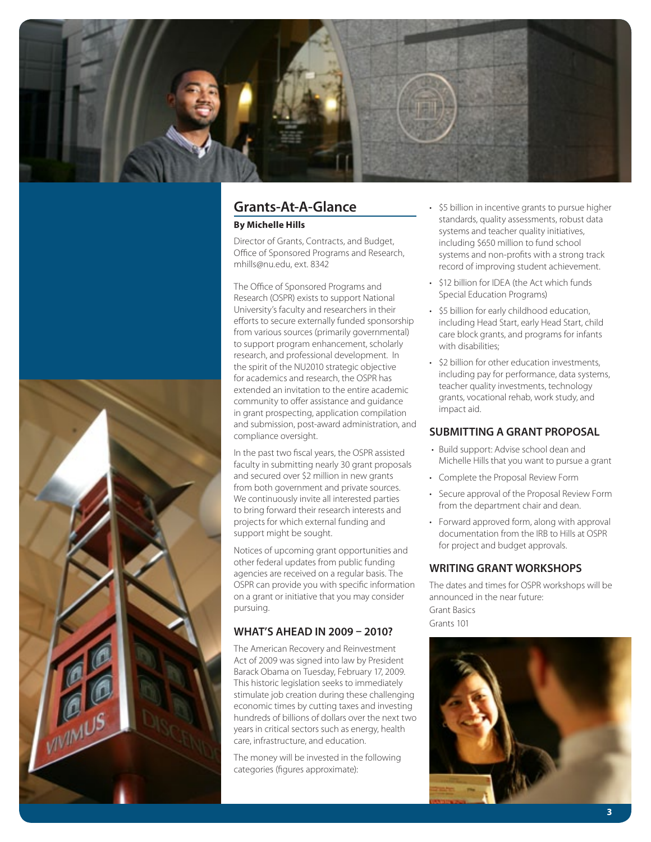

### **Grants-At-A-Glance By Michelle Hills**

Director of Grants, Contracts, and Budget, Office of Sponsored Programs and Research, mhills@nu.edu, ext. 8342

The Office of Sponsored Programs and Research (OSPR) exists to support National University's faculty and researchers in their efforts to secure externally funded sponsorship from various sources (primarily governmental) to support program enhancement, scholarly research, and professional development. In the spirit of the NU2010 strategic objective for academics and research, the OSPR has extended an invitation to the entire academic community to offer assistance and guidance in grant prospecting, application compilation and submission, post-award administration, and compliance oversight.

In the past two fiscal years, the OSPR assisted faculty in submitting nearly 30 grant proposals and secured over \$2 million in new grants from both government and private sources. We continuously invite all interested parties to bring forward their research interests and projects for which external funding and support might be sought.

Notices of upcoming grant opportunities and other federal updates from public funding agencies are received on a regular basis. The OSPR can provide you with specific information on a grant or initiative that you may consider pursuing.

#### **WHAT'S AHEAD IN 2009 – 2010?**

The American Recovery and Reinvestment Act of 2009 was signed into law by President Barack Obama on Tuesday, February 17, 2009. This historic legislation seeks to immediately stimulate job creation during these challenging economic times by cutting taxes and investing hundreds of billions of dollars over the next two years in critical sectors such as energy, health care, infrastructure, and education.

The money will be invested in the following categories (figures approximate):

- \$5 billion in incentive grants to pursue higher standards, quality assessments, robust data systems and teacher quality initiatives, including \$650 million to fund school systems and non-profits with a strong track record of improving student achievement.
- \$12 billion for IDEA (the Act which funds Special Education Programs)
- \$5 billion for early childhood education, including Head Start, early Head Start, child care block grants, and programs for infants with disabilities:
- • \$2 billion for other education investments, including pay for performance, data systems, teacher quality investments, technology grants, vocational rehab, work study, and impact aid.

#### **SUBMITTING A GRANT PROPOSAL**

- • Build support: Advise school dean and Michelle Hills that you want to pursue a grant
- • Complete the Proposal Review Form
- Secure approval of the Proposal Review Form from the department chair and dean.
- Forward approved form, along with approval documentation from the IRB to Hills at OSPR for project and budget approvals.

#### **WRITING GRANT WORKSHOPS**

The dates and times for OSPR workshops will be announced in the near future: Grant Basics Grants 101



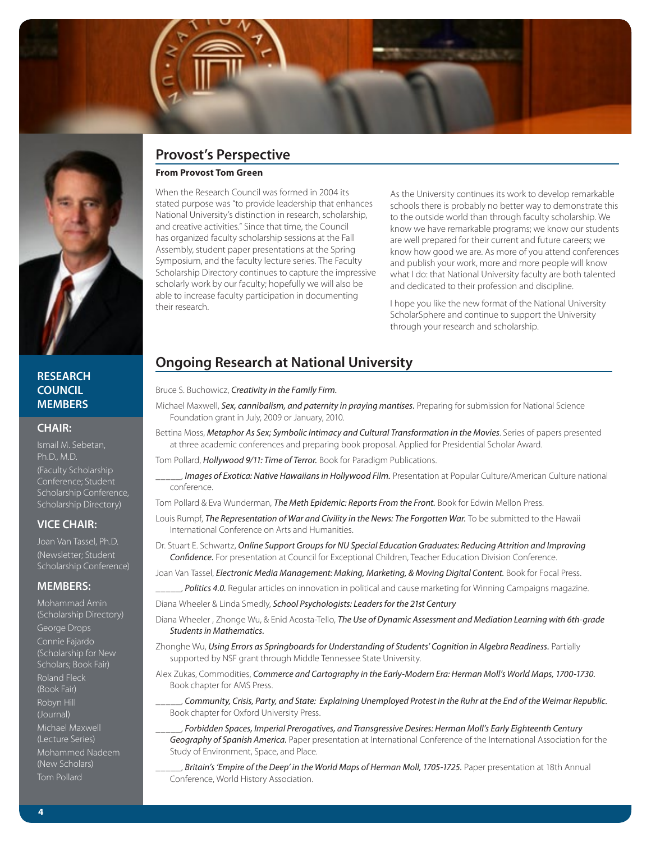

#### **RESEARCH COUNCIL MEMBERS**

#### **CHAIR:**

Ismail M. Sebetan, Ph.D., M.D. (Faculty Scholarship Conference; Student Scholarship Conference, Scholarship Directory)

#### **VICE CHAIR:**

Joan Van Tassel, Ph.D. (Newsletter; Student Scholarship Conference)

#### **MEMBERS:**

Mohammad Amin (Scholarship Directory) George Drops Connie Fajardo (Scholarship for New Scholars; Book Fair) Roland Fleck (Book Fair) Robyn Hill (Journal) Michael Maxwell (Lecture Series) Mohammed Nadeem (New Scholars) Tom Pollard

# **Provost's Perspective**

#### **From Provost Tom Green**

When the Research Council was formed in 2004 its stated purpose was "to provide leadership that enhances National University's distinction in research, scholarship, and creative activities." Since that time, the Council has organized faculty scholarship sessions at the Fall Assembly, student paper presentations at the Spring Symposium, and the faculty lecture series. The Faculty Scholarship Directory continues to capture the impressive scholarly work by our faculty; hopefully we will also be able to increase faculty participation in documenting their research.

As the University continues its work to develop remarkable schools there is probably no better way to demonstrate this to the outside world than through faculty scholarship. We know we have remarkable programs; we know our students are well prepared for their current and future careers; we know how good we are. As more of you attend conferences and publish your work, more and more people will know what I do: that National University faculty are both talented and dedicated to their profession and discipline.

I hope you like the new format of the National University ScholarSphere and continue to support the University through your research and scholarship.

# **Ongoing Research at National University**

#### Bruce S. Buchowicz, *Creativity in the Family Firm.*

- Michael Maxwell, *Sex, cannibalism, and paternity in praying mantises.* Preparing for submission for National Science Foundation grant in July, 2009 or January, 2010.
- Bettina Moss, *Metaphor As Sex; Symbolic Intimacy and Cultural Transformation in the Movies*. Series of papers presented at three academic conferences and preparing book proposal. Applied for Presidential Scholar Award.

Tom Pollard, *Hollywood 9/11: Time of Terror.* Book for Paradigm Publications.

\_\_\_\_\_, *Images of Exotica: Native Hawaiians in Hollywood Film.* Presentation at Popular Culture/American Culture national conference.

Tom Pollard & Eva Wunderman, *The Meth Epidemic: Reports From the Front.* Book for Edwin Mellon Press.

- Louis Rumpf, *The Representation of War and Civility in the News: The Forgotten War.* To be submitted to the Hawaii International Conference on Arts and Humanities.
- Dr. Stuart E. Schwartz, *Online Support Groups for NU Special Education Graduates: Reducing Attrition and Improving Confidence.* For presentation at Council for Exceptional Children, Teacher Education Division Conference.

Joan Van Tassel, *Electronic Media Management: Making, Marketing, & Moving Digital Content.* Book for Focal Press.

Politics 4.0. Regular articles on innovation in political and cause marketing for Winning Campaigns magazine.

Diana Wheeler & Linda Smedly, *School Psychologists: Leaders for the 21st Century*

- Diana Wheeler , Zhonge Wu, & Enid Acosta-Tello, *The Use of Dynamic Assessment and Mediation Learning with 6th-grade Students in Mathematics.*
- Zhonghe Wu, *Using Errors as Springboards for Understanding of Students' Cognition in Algebra Readiness.* Partially supported by NSF grant through Middle Tennessee State University.

Alex Zukas, Commodities, *Commerce and Cartography in the Early-Modern Era: Herman Moll's World Maps, 1700-1730.* Book chapter for AMS Press.

- \_\_\_\_\_, *Community, Crisis, Party, and State: Explaining Unemployed Protest in the Ruhr at the End of the Weimar Republic.* Book chapter for Oxford University Press.
- \_\_\_\_\_, *Forbidden Spaces, Imperial Prerogatives, and Transgressive Desires: Herman Moll's Early Eighteenth Century Geography of Spanish America.* Paper presentation at International Conference of the International Association for the Study of Environment, Space, and Place.
- \_\_\_\_\_, *Britain's 'Empire of the Deep' in the World Maps of Herman Moll, 1705-1725.* Paper presentation at 18th Annual Conference, World History Association.